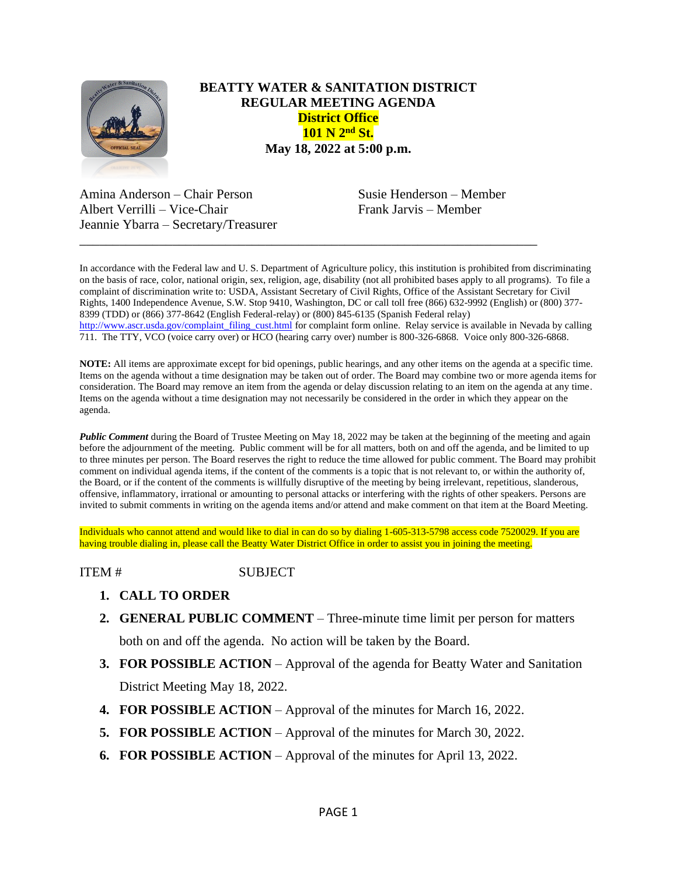

## **BEATTY WATER & SANITATION DISTRICT REGULAR MEETING AGENDA District Office 101 N 2nd St. May 18, 2022 at 5:00 p.m.**

Amina Anderson – Chair Person Susie Henderson – Member Albert Verrilli – Vice-Chair Frank Jarvis – Member Jeannie Ybarra – Secretary/Treasurer

In accordance with the Federal law and U. S. Department of Agriculture policy, this institution is prohibited from discriminating on the basis of race, color, national origin, sex, religion, age, disability (not all prohibited bases apply to all programs). To file a complaint of discrimination write to: USDA, Assistant Secretary of Civil Rights, Office of the Assistant Secretary for Civil Rights, 1400 Independence Avenue, S.W. Stop 9410, Washington, DC or call toll free (866) 632-9992 (English) or (800) 377- 8399 (TDD) or (866) 377-8642 (English Federal-relay) or (800) 845-6135 (Spanish Federal relay) [http://www.ascr.usda.gov/complaint\\_filing\\_cust.html](http://www.ascr.usda.gov/complaint_filing_cust.html) for complaint form online. Relay service is available in Nevada by calling 711. The TTY, VCO (voice carry over) or HCO (hearing carry over) number is 800-326-6868. Voice only 800-326-6868.

\_\_\_\_\_\_\_\_\_\_\_\_\_\_\_\_\_\_\_\_\_\_\_\_\_\_\_\_\_\_\_\_\_\_\_\_\_\_\_\_\_\_\_\_\_\_\_\_\_\_\_\_\_\_\_\_\_\_\_\_\_\_\_\_\_\_\_\_\_

**NOTE:** All items are approximate except for bid openings, public hearings, and any other items on the agenda at a specific time. Items on the agenda without a time designation may be taken out of order. The Board may combine two or more agenda items for consideration. The Board may remove an item from the agenda or delay discussion relating to an item on the agenda at any time. Items on the agenda without a time designation may not necessarily be considered in the order in which they appear on the agenda.

*Public Comment* during the Board of Trustee Meeting on May 18, 2022 may be taken at the beginning of the meeting and again before the adjournment of the meeting. Public comment will be for all matters, both on and off the agenda, and be limited to up to three minutes per person. The Board reserves the right to reduce the time allowed for public comment. The Board may prohibit comment on individual agenda items, if the content of the comments is a topic that is not relevant to, or within the authority of, the Board, or if the content of the comments is willfully disruptive of the meeting by being irrelevant, repetitious, slanderous, offensive, inflammatory, irrational or amounting to personal attacks or interfering with the rights of other speakers. Persons are invited to submit comments in writing on the agenda items and/or attend and make comment on that item at the Board Meeting.

Individuals who cannot attend and would like to dial in can do so by dialing 1-605-313-5798 access code 7520029. If you are having trouble dialing in, please call the Beatty Water District Office in order to assist you in joining the meeting.

ITEM # SUBJECT

- **1. CALL TO ORDER**
- **2. GENERAL PUBLIC COMMENT** Three-minute time limit per person for matters both on and off the agenda. No action will be taken by the Board.
- **3. FOR POSSIBLE ACTION** Approval of the agenda for Beatty Water and Sanitation District Meeting May 18, 2022.
- **4. FOR POSSIBLE ACTION**  Approval of the minutes for March 16, 2022.
- **5. FOR POSSIBLE ACTION Approval of the minutes for March 30, 2022.**
- **6. FOR POSSIBLE ACTION**  Approval of the minutes for April 13, 2022.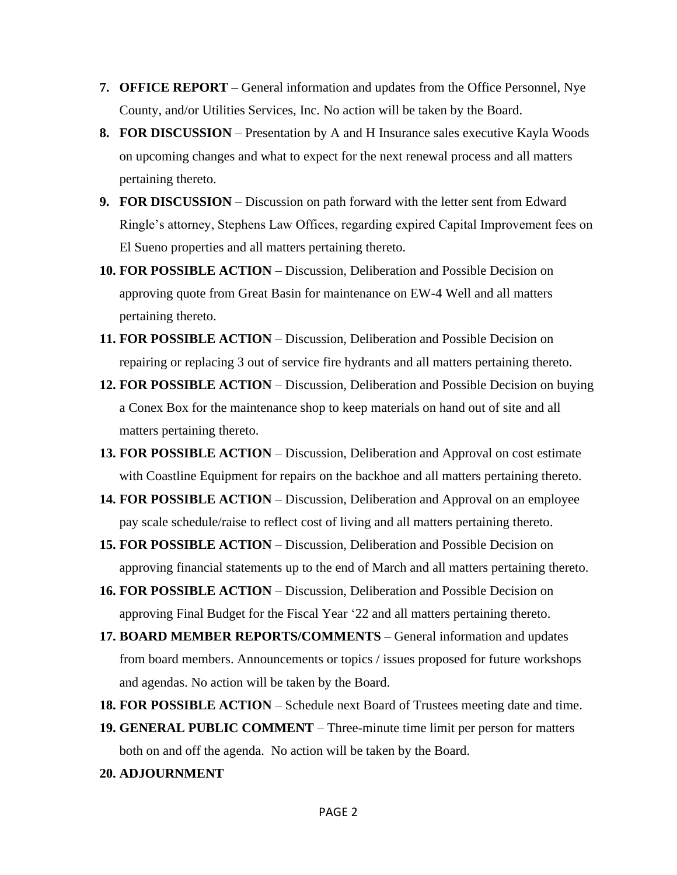- **7. OFFICE REPORT**  General information and updates from the Office Personnel, Nye County, and/or Utilities Services, Inc. No action will be taken by the Board.
- **8. FOR DISCUSSION** Presentation by A and H Insurance sales executive Kayla Woods on upcoming changes and what to expect for the next renewal process and all matters pertaining thereto.
- **9. FOR DISCUSSION** Discussion on path forward with the letter sent from Edward Ringle's attorney, Stephens Law Offices, regarding expired Capital Improvement fees on El Sueno properties and all matters pertaining thereto.
- **10. FOR POSSIBLE ACTION** Discussion, Deliberation and Possible Decision on approving quote from Great Basin for maintenance on EW-4 Well and all matters pertaining thereto.
- **11. FOR POSSIBLE ACTION** Discussion, Deliberation and Possible Decision on repairing or replacing 3 out of service fire hydrants and all matters pertaining thereto.
- **12. FOR POSSIBLE ACTION** Discussion, Deliberation and Possible Decision on buying a Conex Box for the maintenance shop to keep materials on hand out of site and all matters pertaining thereto.
- **13. FOR POSSIBLE ACTION** Discussion, Deliberation and Approval on cost estimate with Coastline Equipment for repairs on the backhoe and all matters pertaining thereto.
- **14. FOR POSSIBLE ACTION** Discussion, Deliberation and Approval on an employee pay scale schedule/raise to reflect cost of living and all matters pertaining thereto.
- **15. FOR POSSIBLE ACTION** Discussion, Deliberation and Possible Decision on approving financial statements up to the end of March and all matters pertaining thereto.
- **16. FOR POSSIBLE ACTION** Discussion, Deliberation and Possible Decision on approving Final Budget for the Fiscal Year '22 and all matters pertaining thereto.
- **17. BOARD MEMBER REPORTS/COMMENTS** General information and updates from board members. Announcements or topics / issues proposed for future workshops and agendas. No action will be taken by the Board.
- **18. FOR POSSIBLE ACTION** Schedule next Board of Trustees meeting date and time.
- **19. GENERAL PUBLIC COMMENT** Three-minute time limit per person for matters both on and off the agenda. No action will be taken by the Board.
- **20. ADJOURNMENT**